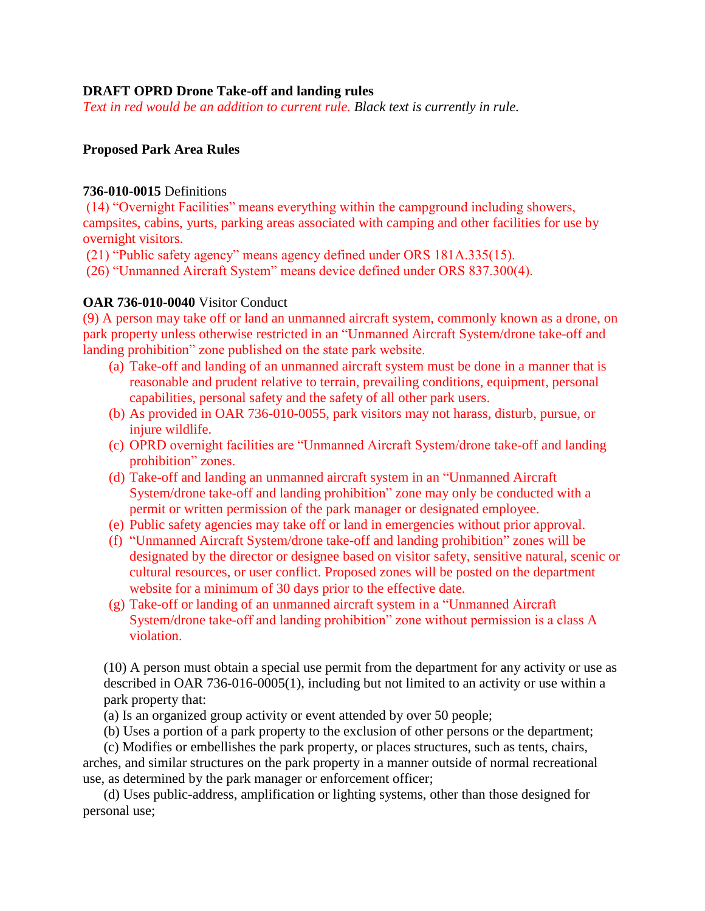## **DRAFT OPRD Drone Take-off and landing rules**

*Text in red would be an addition to current rule. Black text is currently in rule.*

# **Proposed Park Area Rules**

### **736-010-0015** Definitions

(14) "Overnight Facilities" means everything within the campground including showers, campsites, cabins, yurts, parking areas associated with camping and other facilities for use by overnight visitors.

- (21) "Public safety agency" means agency defined under ORS 181A.335(15).
- (26) "Unmanned Aircraft System" means device defined under ORS 837.300(4).

# **OAR 736-010-0040** Visitor Conduct

(9) A person may take off or land an unmanned aircraft system, commonly known as a drone, on park property unless otherwise restricted in an "Unmanned Aircraft System/drone take-off and landing prohibition" zone published on the state park website.

- (a) Take-off and landing of an unmanned aircraft system must be done in a manner that is reasonable and prudent relative to terrain, prevailing conditions, equipment, personal capabilities, personal safety and the safety of all other park users.
- (b) As provided in OAR 736-010-0055, park visitors may not harass, disturb, pursue, or injure wildlife.
- (c) OPRD overnight facilities are "Unmanned Aircraft System/drone take-off and landing prohibition" zones.
- (d) Take-off and landing an unmanned aircraft system in an "Unmanned Aircraft System/drone take-off and landing prohibition" zone may only be conducted with a permit or written permission of the park manager or designated employee.
- (e) Public safety agencies may take off or land in emergencies without prior approval.
- (f) "Unmanned Aircraft System/drone take-off and landing prohibition" zones will be designated by the director or designee based on visitor safety, sensitive natural, scenic or cultural resources, or user conflict. Proposed zones will be posted on the department website for a minimum of 30 days prior to the effective date.
- (g) Take-off or landing of an unmanned aircraft system in a "Unmanned Aircraft System/drone take-off and landing prohibition" zone without permission is a class A violation.

(10) A person must obtain a special use permit from the department for any activity or use as described in OAR 736-016-0005(1), including but not limited to an activity or use within a park property that:

- (a) Is an organized group activity or event attended by over 50 people;
- (b) Uses a portion of a park property to the exclusion of other persons or the department;

(c) Modifies or embellishes the park property, or places structures, such as tents, chairs, arches, and similar structures on the park property in a manner outside of normal recreational use, as determined by the park manager or enforcement officer;

(d) Uses public-address, amplification or lighting systems, other than those designed for personal use;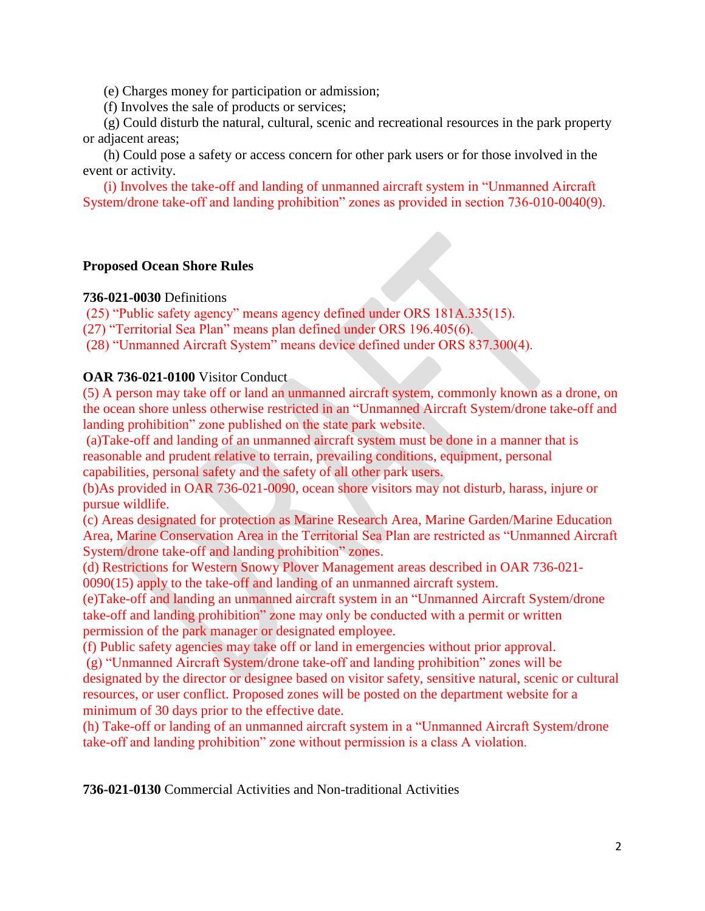(e) Charges money for participation or admission;

(f) Involves the sale of products or services;

(g) Could disturb the natural, cultural, scenic and recreational resources in the park property or adjacent areas;

(h) Could pose a safety or access concern for other park users or for those involved in the event or activity.

 (i) Involves the take-off and landing of unmanned aircraft system in "Unmanned Aircraft System/drone take-off and landing prohibition" zones as provided in section 736-010-0040(9).

### **Proposed Ocean Shore Rules**

#### **736-021-0030** Definitions

(25) "Public safety agency" means agency defined under ORS 181A.335(15).

(27) "Territorial Sea Plan" means plan defined under ORS 196.405(6).

(28) "Unmanned Aircraft System" means device defined under ORS 837.300(4).

#### **OAR 736-021-0100** Visitor Conduct

(5) A person may take off or land an unmanned aircraft system, commonly known as a drone, on the ocean shore unless otherwise restricted in an "Unmanned Aircraft System/drone take-off and landing prohibition" zone published on the state park website.

(a)Take-off and landing of an unmanned aircraft system must be done in a manner that is reasonable and prudent relative to terrain, prevailing conditions, equipment, personal capabilities, personal safety and the safety of all other park users.

(b)As provided in OAR 736-021-0090, ocean shore visitors may not disturb, harass, injure or pursue wildlife.

(c) Areas designated for protection as Marine Research Area, Marine Garden/Marine Education Area, Marine Conservation Area in the Territorial Sea Plan are restricted as "Unmanned Aircraft System/drone take-off and landing prohibition" zones.

(d) Restrictions for Western Snowy Plover Management areas described in OAR 736-021- 0090(15) apply to the take-off and landing of an unmanned aircraft system.

(e)Take-off and landing an unmanned aircraft system in an "Unmanned Aircraft System/drone take-off and landing prohibition" zone may only be conducted with a permit or written permission of the park manager or designated employee.

(f) Public safety agencies may take off or land in emergencies without prior approval.

(g) "Unmanned Aircraft System/drone take-off and landing prohibition" zones will be designated by the director or designee based on visitor safety, sensitive natural, scenic or cultural resources, or user conflict. Proposed zones will be posted on the department website for a minimum of 30 days prior to the effective date.

(h) Take-off or landing of an unmanned aircraft system in a "Unmanned Aircraft System/drone take-off and landing prohibition" zone without permission is a class A violation.

**736-021-0130** Commercial Activities and Non-traditional Activities